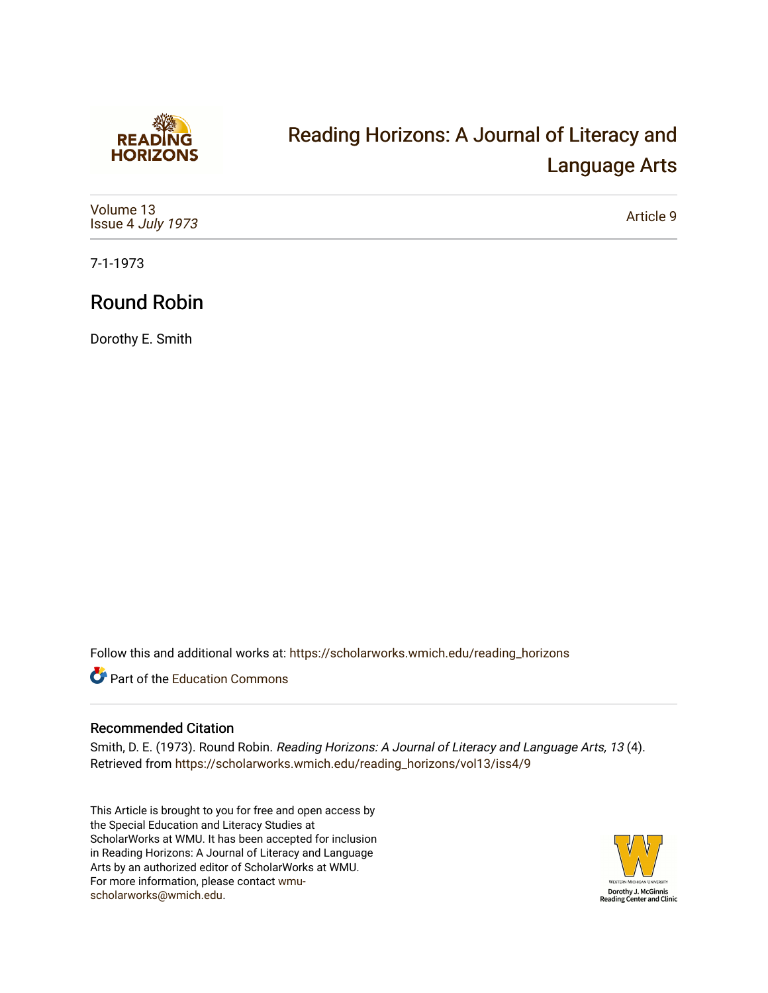

## [Reading Horizons: A Journal of Literacy and](https://scholarworks.wmich.edu/reading_horizons)  [Language Arts](https://scholarworks.wmich.edu/reading_horizons)

| Volume 13<br>Issue 4 July 1973 | Article 9 |
|--------------------------------|-----------|
|--------------------------------|-----------|

7-1-1973

## Round Robin

Dorothy E. Smith

Follow this and additional works at: [https://scholarworks.wmich.edu/reading\\_horizons](https://scholarworks.wmich.edu/reading_horizons?utm_source=scholarworks.wmich.edu%2Freading_horizons%2Fvol13%2Fiss4%2F9&utm_medium=PDF&utm_campaign=PDFCoverPages)

Part of the [Education Commons](http://network.bepress.com/hgg/discipline/784?utm_source=scholarworks.wmich.edu%2Freading_horizons%2Fvol13%2Fiss4%2F9&utm_medium=PDF&utm_campaign=PDFCoverPages)

## Recommended Citation

Smith, D. E. (1973). Round Robin. Reading Horizons: A Journal of Literacy and Language Arts, 13 (4). Retrieved from [https://scholarworks.wmich.edu/reading\\_horizons/vol13/iss4/9](https://scholarworks.wmich.edu/reading_horizons/vol13/iss4/9?utm_source=scholarworks.wmich.edu%2Freading_horizons%2Fvol13%2Fiss4%2F9&utm_medium=PDF&utm_campaign=PDFCoverPages) 

This Article is brought to you for free and open access by the Special Education and Literacy Studies at ScholarWorks at WMU. It has been accepted for inclusion in Reading Horizons: A Journal of Literacy and Language Arts by an authorized editor of ScholarWorks at WMU. For more information, please contact [wmu](mailto:wmu-scholarworks@wmich.edu)[scholarworks@wmich.edu.](mailto:wmu-scholarworks@wmich.edu)